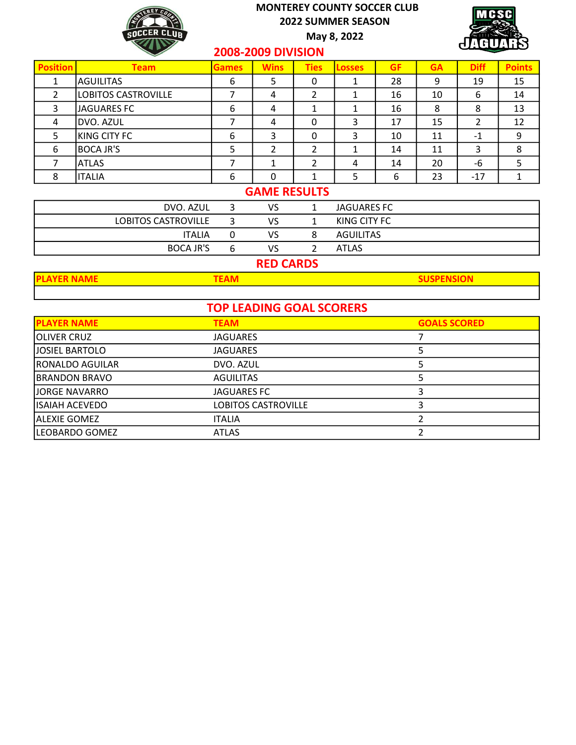

May 8, 2022



#### 2008-2009 DIVISION

|                 |                            |              | ---- ---- -- -- ---- -- |             |               |           |           |             |               |
|-----------------|----------------------------|--------------|-------------------------|-------------|---------------|-----------|-----------|-------------|---------------|
| <b>Position</b> | <b>Team</b>                | <b>Games</b> | <b>Wins</b>             | <b>Ties</b> | <b>Losses</b> | <b>GF</b> | <b>GA</b> | <b>Diff</b> | <b>Points</b> |
|                 | AGUILITAS                  | 6            | 5                       | 0           |               | 28        | 9         | 19          | 15            |
|                 | <b>LOBITOS CASTROVILLE</b> |              | 4                       | 2           |               | 16        | 10        | 6           | 14            |
|                 | <b>JAGUARES FC</b>         | 6            | 4                       |             |               | 16        | 8         | 8           | 13            |
| 4               | DVO. AZUL                  |              | 4                       | 0           | 3             | 17        | 15        | 2           | 12            |
|                 | KING CITY FC               | 6            | 3                       | 0           | 3             | 10        | 11        | $-1$        | 9             |
| 6               | <b>BOCA JR'S</b>           |              |                         |             |               | 14        | 11        | 3           | 8             |
|                 | <b>ATLAS</b>               |              |                         |             | 4             | 14        | 20        | -6          |               |
|                 | <b>ITALIA</b>              | 6            | 0                       |             |               | 6         | 23        | $-17$       |               |

### GAME RESULTS

| DVO. AZUL           | VS | JAGUARES FC  |
|---------------------|----|--------------|
| LOBITOS CASTROVILLE | VS | KING CITY FC |
| <b>ITALIA</b>       | VS | AGUILITAS    |
| <b>BOCA JR'S</b>    | VS | <b>ATLAS</b> |

# RED CARDS

| <b>TOP LEADING GOAL SCORERS</b> |                            |                     |  |  |  |  |  |  |
|---------------------------------|----------------------------|---------------------|--|--|--|--|--|--|
| <b>PLAYER NAME</b>              | <b>TEAM</b>                | <b>GOALS SCORED</b> |  |  |  |  |  |  |
| <b>OLIVER CRUZ</b>              | <b>JAGUARES</b>            |                     |  |  |  |  |  |  |
| <b>JOSIEL BARTOLO</b>           | <b>JAGUARES</b>            |                     |  |  |  |  |  |  |
| RONALDO AGUILAR                 | DVO. AZUL                  |                     |  |  |  |  |  |  |
| <b>BRANDON BRAVO</b>            | <b>AGUILITAS</b>           |                     |  |  |  |  |  |  |
| <b>JORGE NAVARRO</b>            | <b>JAGUARES FC</b>         |                     |  |  |  |  |  |  |
| IISAIAH ACEVEDO                 | <b>LOBITOS CASTROVILLE</b> |                     |  |  |  |  |  |  |
| <b>ALEXIE GOMEZ</b>             | <b>ITALIA</b>              |                     |  |  |  |  |  |  |
| LEOBARDO GOMEZ                  | <b>ATLAS</b>               |                     |  |  |  |  |  |  |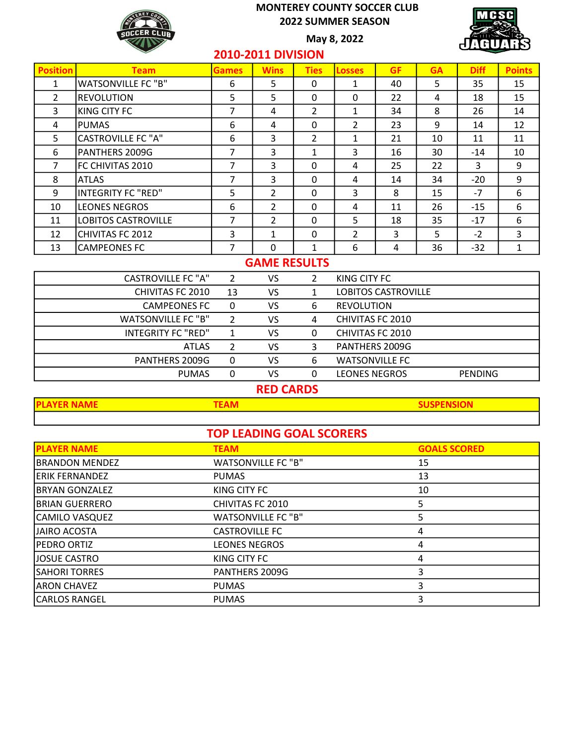May 8, 2022



## 2010-2011 DIVISION

| <b>Position</b> | <b>Team</b>                | <b>Games</b> | <b>Wins</b>             | <b>Ties</b>    | <b>Losses</b>  | <b>GF</b> | <b>GA</b> | <b>Diff</b> | <b>Points</b> |
|-----------------|----------------------------|--------------|-------------------------|----------------|----------------|-----------|-----------|-------------|---------------|
| 1               | <b>WATSONVILLE FC "B"</b>  | 6            | 5                       | 0              | 1              | 40        | 5         | 35          | 15            |
| $\overline{2}$  | REVOLUTION                 | 5            | 5                       | 0              | 0              | 22        | 4         | 18          | 15            |
| 3               | <b>KING CITY FC</b>        | 7            | 4                       | $\overline{2}$ | $\mathbf{1}$   | 34        | 8         | 26          | 14            |
| 4               | <b>IPUMAS</b>              | 6            | 4                       | 0              | $\overline{2}$ | 23        | 9         | 14          | 12            |
| 5               | CASTROVILLE FC "A"         | 6            | 3                       | $\overline{2}$ | $\mathbf{1}$   | 21        | 10        | 11          | 11            |
| 6               | PANTHERS 2009G             | 7            | 3                       | $\mathbf{1}$   | 3              | 16        | 30        | $-14$       | 10            |
| 7               | FC CHIVITAS 2010           | 7            | 3                       | 0              | 4              | 25        | 22        | 3           | 9             |
| 8               | <b>ATLAS</b>               | 7            | 3                       | 0              | 4              | 14        | 34        | $-20$       | 9             |
| 9               | INTEGRITY FC "RED"         | 5            | 2                       | 0              | 3              | 8         | 15        | $-7$        | 6             |
| 10              | <b>LEONES NEGROS</b>       | 6            | $\overline{\mathbf{c}}$ | $\Omega$       | 4              | 11        | 26        | $-15$       | 6             |
| 11              | <b>LOBITOS CASTROVILLE</b> | 7            | $\overline{2}$          | 0              | 5              | 18        | 35        | $-17$       | 6             |
| 12              | CHIVITAS FC 2012           | 3            | 1                       | 0              | $\overline{2}$ | 3         | 5         | $-2$        | 3             |
| 13              | CAMPEONES FC               | 7            | $\mathbf 0$             | $\mathbf{1}$   | 6              | 4         | 36        | $-32$       | 1             |

#### GAME RESULTS

|    | VS |   | KING CITY FC          |                |
|----|----|---|-----------------------|----------------|
| 13 | VS |   | LOBITOS CASTROVILLE   |                |
| O  | VS | 6 | <b>REVOLUTION</b>     |                |
|    | VS | 4 | CHIVITAS FC 2010      |                |
|    | VS | 0 | CHIVITAS FC 2010      |                |
|    | VS |   | PANTHERS 2009G        |                |
|    | VS | 6 | <b>WATSONVILLE FC</b> |                |
|    | VS |   | <b>LEONES NEGROS</b>  | <b>PENDING</b> |
|    |    |   |                       |                |

## RED CARDS

**PLAYER NAME TEAM SUSPENSION** 

|                       | <b>TOP LEADING GOAL SCORERS</b> |                     |
|-----------------------|---------------------------------|---------------------|
| <b>PLAYER NAME</b>    | <b>TEAM</b>                     | <b>GOALS SCORED</b> |
| <b>BRANDON MENDEZ</b> | <b>WATSONVILLE FC "B"</b>       | 15                  |
| <b>ERIK FERNANDEZ</b> | <b>PUMAS</b>                    | 13                  |
| <b>BRYAN GONZALEZ</b> | KING CITY FC                    | 10                  |
| <b>BRIAN GUERRERO</b> | CHIVITAS FC 2010                | 5.                  |
| CAMILO VASQUEZ        | <b>WATSONVILLE FC "B"</b>       | 5                   |
| <b>JAIRO ACOSTA</b>   | <b>CASTROVILLE FC</b>           | 4                   |
| <b>IPEDRO ORTIZ</b>   | <b>LEONES NEGROS</b>            | 4                   |
| JOSUE CASTRO          | KING CITY FC                    | 4                   |
| <b>SAHORI TORRES</b>  | PANTHERS 2009G                  |                     |
| <b>ARON CHAVEZ</b>    | <b>PUMAS</b>                    | 3                   |
| <b>CARLOS RANGEL</b>  | <b>PUMAS</b>                    |                     |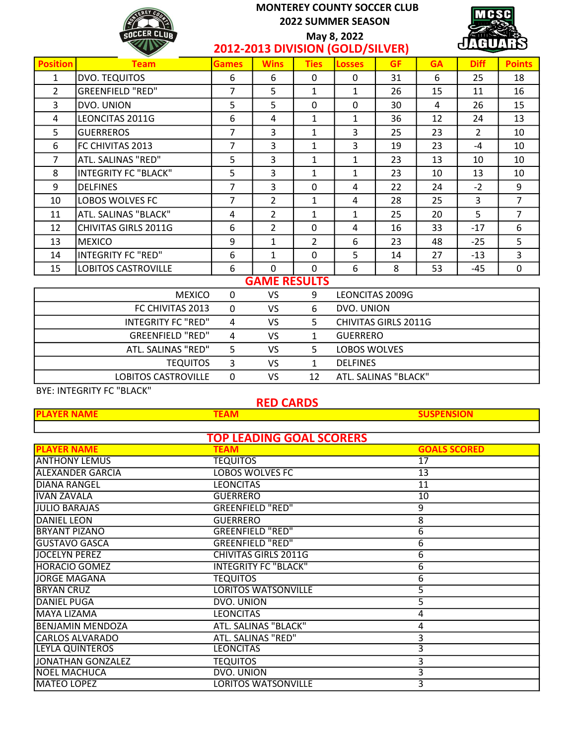

2012-2013 DIVISION (GOLD/SILVER) May 8, 2022

| ZUIZ-ZUIJ DIVIJIUN (UULD) JILVLIV |                             |              |                     |                |               |           |           |                |                |
|-----------------------------------|-----------------------------|--------------|---------------------|----------------|---------------|-----------|-----------|----------------|----------------|
| <b>Position</b>                   | <b>Team</b>                 | <b>Games</b> | <b>Wins</b>         | <b>Ties</b>    | <b>Losses</b> | <b>GF</b> | <b>GA</b> | <b>Diff</b>    | <b>Points</b>  |
| 1                                 | DVO. TEQUITOS               | 6            | 6                   | 0              | 0             | 31        | 6         | 25             | 18             |
| $\overline{2}$                    | <b>GREENFIELD "RED"</b>     | 7            | 5                   | 1              | $\mathbf{1}$  | 26        | 15        | 11             | 16             |
| 3                                 | DVO. UNION                  | 5            | 5                   | $\mathbf{0}$   | 0             | 30        | 4         | 26             | 15             |
| 4                                 | LEONCITAS 2011G             | 6            | 4                   | 1              | 1             | 36        | 12        | 24             | 13             |
| 5                                 | <b>GUERREROS</b>            | 7            | 3                   | 1              | 3             | 25        | 23        | $\overline{2}$ | 10             |
| 6                                 | FC CHIVITAS 2013            | 7            | 3                   | $\mathbf{1}$   | 3             | 19        | 23        | $-4$           | 10             |
| $\overline{7}$                    | ATL. SALINAS "RED"          | 5            | 3                   | $\mathbf{1}$   | $\mathbf{1}$  | 23        | 13        | 10             | 10             |
| 8                                 | <b>INTEGRITY FC "BLACK"</b> | 5            | 3                   | 1              | $\mathbf{1}$  | 23        | 10        | 13             | 10             |
| 9                                 | <b>DELFINES</b>             | 7            | $\mathbf{3}$        | $\mathbf{0}$   | 4             | 22        | 24        | $-2$           | 9              |
| 10                                | LOBOS WOLVES FC             | 7            | 2                   | $\mathbf{1}$   | 4             | 28        | 25        | 3              | $\overline{7}$ |
| 11                                | ATL. SALINAS "BLACK"        | 4            | 2                   | $\mathbf{1}$   | 1             | 25        | 20        | 5              | $\overline{7}$ |
| 12                                | CHIVITAS GIRLS 2011G        | 6            | $\overline{2}$      | $\mathbf{0}$   | 4             | 16        | 33        | $-17$          | 6              |
| 13                                | MEXICO                      | 9            | $\mathbf{1}$        | $\overline{2}$ | 6             | 23        | 48        | $-25$          | 5              |
| 14                                | INTEGRITY FC "RED"          | 6            | 1                   | $\mathbf{0}$   | 5             | 14        | 27        | $-13$          | 3              |
| 15                                | <b>LOBITOS CASTROVILLE</b>  | 6            | 0                   | $\mathbf{0}$   | 6             | 8         | 53        | $-45$          | 0              |
|                                   |                             |              | <b>GAME RESULTS</b> |                |               |           |           |                |                |

|                            |   | ___________ |    |                             |
|----------------------------|---|-------------|----|-----------------------------|
| <b>MEXICO</b>              | 0 | VS          | 9  | LEONCITAS 2009G             |
| FC CHIVITAS 2013           |   | VS          | 6  | DVO. UNION                  |
| INTEGRITY FC "RED"         | 4 | VS.         |    | <b>CHIVITAS GIRLS 2011G</b> |
| <b>GREENFIELD "RED"</b>    | 4 | VS.         |    | <b>GUERRERO</b>             |
| ATL. SALINAS "RED"         |   | VS.         |    | LOBOS WOLVES                |
| <b>TEQUITOS</b>            |   | VS          |    | <b>DELFINES</b>             |
| <b>LOBITOS CASTROVILLE</b> |   | VS          | 12 | ATL. SALINAS "BLACK"        |
|                            |   |             |    |                             |

BYE: INTEGRITY FC "BLACK"

#### PLAYER NAME TEAM SUSPENSION TEAM SUSPENSION RED CARDS

| <b>TOP LEADING GOAL SCORERS</b> |                             |                     |  |  |  |  |  |  |
|---------------------------------|-----------------------------|---------------------|--|--|--|--|--|--|
| <b>PLAYER NAME</b>              | <b>TEAM</b>                 | <b>GOALS SCORED</b> |  |  |  |  |  |  |
| <b>ANTHONY LEMUS</b>            | <b>TEQUITOS</b>             | 17                  |  |  |  |  |  |  |
| <b>ALEXANDER GARCIA</b>         | <b>LOBOS WOLVES FC</b>      | 13                  |  |  |  |  |  |  |
| IDIANA RANGEL                   | <b>LEONCITAS</b>            | 11                  |  |  |  |  |  |  |
| IVAN ZAVALA                     | <b>GUERRERO</b>             | 10                  |  |  |  |  |  |  |
| JULIO BARAJAS                   | <b>GREENFIELD "RED"</b>     | 9                   |  |  |  |  |  |  |
| <b>DANIEL LEON</b>              | <b>GUERRERO</b>             | 8                   |  |  |  |  |  |  |
| IBRYANT PIZANO                  | <b>GREENFIELD "RED"</b>     | 6                   |  |  |  |  |  |  |
| <b>GUSTAVO GASCA</b>            | <b>GREENFIELD "RED"</b>     | 6                   |  |  |  |  |  |  |
| JOCELYN PEREZ                   | <b>CHIVITAS GIRLS 2011G</b> | 6                   |  |  |  |  |  |  |
| <b>HORACIO GOMEZ</b>            | <b>INTEGRITY FC "BLACK"</b> | 6                   |  |  |  |  |  |  |
| JORGE MAGANA                    | <b>TEQUITOS</b>             | 6                   |  |  |  |  |  |  |
| <b>BRYAN CRUZ</b>               | <b>LORITOS WATSONVILLE</b>  | 5                   |  |  |  |  |  |  |
| <b>DANIEL PUGA</b>              | DVO. UNION                  | 5                   |  |  |  |  |  |  |
| MAYA LIZAMA                     | <b>LEONCITAS</b>            | 4                   |  |  |  |  |  |  |
| BENJAMIN MENDOZA                | ATL. SALINAS "BLACK"        | 4                   |  |  |  |  |  |  |
| CARLOS ALVARADO                 | ATL. SALINAS "RED"          | 3                   |  |  |  |  |  |  |
| <b>LEYLA QUINTEROS</b>          | <b>LEONCITAS</b>            | 3                   |  |  |  |  |  |  |
| JONATHAN GONZALEZ               | <b>TEQUITOS</b>             | 3                   |  |  |  |  |  |  |
| <b>NOEL MACHUCA</b>             | <b>DVO. UNION</b>           | 3                   |  |  |  |  |  |  |
| MATEO LOPEZ                     | <b>LORITOS WATSONVILLE</b>  | 3                   |  |  |  |  |  |  |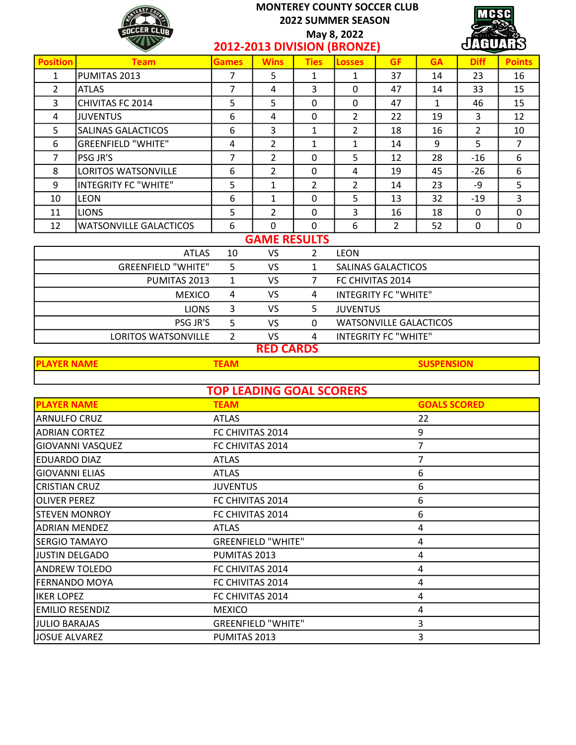|                                                                     | <b>MONTEREY COUNTY SOCCER CLUB</b><br>MCSC<br><b>2022 SUMMER SEASON</b><br>SOCCER CLUR<br>May 8, 2022 |                |                     |                |                             |                               |              |                |                |
|---------------------------------------------------------------------|-------------------------------------------------------------------------------------------------------|----------------|---------------------|----------------|-----------------------------|-------------------------------|--------------|----------------|----------------|
|                                                                     |                                                                                                       |                |                     |                | 2012-2013 DIVISION (BRONZE) |                               |              | AIHIA          |                |
| <b>Position</b>                                                     | <b>Team</b>                                                                                           | <b>Games</b>   | <b>Wins</b>         | <b>Ties</b>    | <b>Losses</b>               | <b>GF</b>                     | <b>GA</b>    | <b>Diff</b>    | <b>Points</b>  |
| $\mathbf{1}$                                                        | PUMITAS 2013                                                                                          | $\overline{7}$ | 5                   | $\mathbf{1}$   | $\mathbf{1}$                | 37                            | 14           | 23             | 16             |
| $\overline{2}$                                                      | <b>ATLAS</b>                                                                                          | $\overline{7}$ | 4                   | 3              | $\Omega$                    | 47                            | 14           | 33             | 15             |
| 3                                                                   | <b>CHIVITAS FC 2014</b>                                                                               | 5              | 5                   | 0              | $\mathbf 0$                 | 47                            | $\mathbf{1}$ | 46             | 15             |
| 4                                                                   | <b>JUVENTUS</b>                                                                                       | 6              | 4                   | 0              | $\overline{2}$              | 22                            | 19           | 3              | 12             |
| 5                                                                   | <b>SALINAS GALACTICOS</b>                                                                             | 6              | 3                   | $\mathbf{1}$   | $\overline{2}$              | 18                            | 16           | $\overline{2}$ | 10             |
| 6                                                                   | <b>GREENFIELD "WHITE"</b>                                                                             | $\overline{4}$ | $\overline{2}$      | $\mathbf{1}$   | $\mathbf{1}$                | 14                            | 9            | 5              | $\overline{7}$ |
| $\overline{7}$                                                      | PSG JR'S                                                                                              | $\overline{7}$ | $\overline{2}$      | 0              | 5                           | 12                            | 28           | $-16$          | 6              |
| 8                                                                   | LORITOS WATSONVILLE                                                                                   | 6              | $\overline{2}$      | $\mathbf 0$    | $\overline{4}$              | 19                            | 45           | $-26$          | 6              |
| 9                                                                   | <b>INTEGRITY FC "WHITE"</b>                                                                           | 5              | $\mathbf{1}$        | $\overline{2}$ | $\overline{2}$              | 14                            | 23           | -9             | 5              |
| 10                                                                  | <b>LEON</b>                                                                                           | 6              | 1                   | 0              | 5                           | 13                            | 32           | $-19$          | $\overline{3}$ |
| 11                                                                  | <b>LIONS</b>                                                                                          | 5              | $\overline{2}$      | 0              | 3                           | 16                            | 18           | $\mathbf 0$    | $\mathbf 0$    |
| 12                                                                  | <b>WATSONVILLE GALACTICOS</b>                                                                         | 6              | $\Omega$            | $\Omega$       | 6                           | $\overline{2}$                | 52           | $\mathbf{0}$   | 0              |
|                                                                     |                                                                                                       |                | <b>GAME RESULTS</b> |                |                             |                               |              |                |                |
|                                                                     | <b>ATLAS</b>                                                                                          | 10             | <b>VS</b>           | $\overline{2}$ | <b>LEON</b>                 |                               |              |                |                |
|                                                                     | <b>GREENFIELD "WHITE"</b>                                                                             | 5              | <b>VS</b>           | $\mathbf{1}$   |                             | <b>SALINAS GALACTICOS</b>     |              |                |                |
|                                                                     | PUMITAS 2013                                                                                          | $\mathbf{1}$   | <b>VS</b>           | $\overline{7}$ | FC CHIVITAS 2014            |                               |              |                |                |
| <b>VS</b><br><b>INTEGRITY FC "WHITE"</b><br><b>MEXICO</b><br>4<br>4 |                                                                                                       |                |                     |                |                             |                               |              |                |                |
|                                                                     | <b>LIONS</b>                                                                                          | 3              | <b>VS</b>           | 5.             | <b>JUVENTUS</b>             |                               |              |                |                |
|                                                                     | PSG JR'S                                                                                              | 5              | <b>VS</b>           | $\Omega$       |                             | <b>WATSONVILLE GALACTICOS</b> |              |                |                |
|                                                                     | <b>LORITOS WATSONVILLE</b>                                                                            | 2              | VS.                 | 4              |                             | <b>INTEGRITY FC "WHITE"</b>   |              |                |                |
|                                                                     |                                                                                                       |                | <b>RED CARDS</b>    |                |                             |                               |              |                |                |

PLAYER NAME TEAM SUSPENSION **PLAYER NAME COALS SCORED** TOP LEADING GOAL SCORERS **TEAM** 

| IARNULFO CRUZ         | <b>ATLAS</b>              | 22 |
|-----------------------|---------------------------|----|
| ADRIAN CORTEZ         | FC CHIVITAS 2014          | 9  |
| GIOVANNI VASQUEZ      | FC CHIVITAS 2014          |    |
| <b>EDUARDO DIAZ</b>   | <b>ATLAS</b>              |    |
| <b>GIOVANNI ELIAS</b> | <b>ATLAS</b>              | 6  |
| <b>CRISTIAN CRUZ</b>  | <b>JUVENTUS</b>           | 6  |
| <b>OLIVER PEREZ</b>   | FC CHIVITAS 2014          | 6  |
| <b>STEVEN MONROY</b>  | FC CHIVITAS 2014          | 6  |
| ADRIAN MENDEZ         | <b>ATLAS</b>              | 4  |
| SERGIO TAMAYO         | <b>GREENFIELD "WHITE"</b> | 4  |
| lJUSTIN DELGADO       | PUMITAS 2013              | 4  |
| ANDREW TOLEDO         | FC CHIVITAS 2014          | 4  |
| FERNANDO MOYA         | FC CHIVITAS 2014          | 4  |
| <b>IKER LOPEZ</b>     | FC CHIVITAS 2014          | 4  |
| EMILIO RESENDIZ       | <b>MEXICO</b>             | 4  |
| JULIO BARAJAS         | <b>GREENFIELD "WHITE"</b> | 3  |
| JOSUE ALVAREZ         | PUMITAS 2013              | 3  |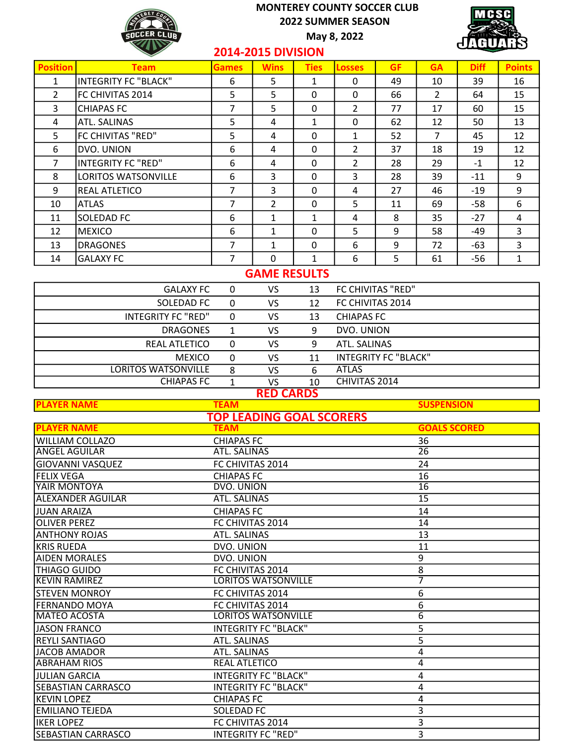May 8, 2022



# 2014-2015 DIVISION

| <b>Position</b> | <b>Team</b>                 | Games | <b>Wins</b>    | <b>Ties</b> | <b>Losses</b>  | <b>GF</b> | <b>GA</b> | <b>Diff</b> | <b>Points</b> |
|-----------------|-----------------------------|-------|----------------|-------------|----------------|-----------|-----------|-------------|---------------|
| $\mathbf{1}$    | <b>INTEGRITY FC "BLACK"</b> | 6     | 5              | 1           | 0              | 49        | 10        | 39          | 16            |
| $\overline{2}$  | FC CHIVITAS 2014            | 5     | 5              | 0           | $\mathbf{0}$   | 66        | 2         | 64          | 15            |
| 3               | <b>CHIAPAS FC</b>           | 7     | 5              | $\Omega$    | $\overline{2}$ | 77        | 17        | 60          | 15            |
| 4               | ATL. SALINAS                | 5     | 4              | 1           | 0              | 62        | 12        | 50          | 13            |
| 5               | FC CHIVITAS "RED"           | 5     | 4              | $\Omega$    | 1              | 52        | 7         | 45          | 12            |
| 6               | DVO. UNION                  | 6     | 4              | 0           | 2              | 37        | 18        | 19          | 12            |
| 7               | <b>INTEGRITY FC "RED"</b>   | 6     | 4              | $\Omega$    | 2              | 28        | 29        | $-1$        | 12            |
| 8               | <b>LORITOS WATSONVILLE</b>  | 6     | 3              | $\Omega$    | 3              | 28        | 39        | -11         | 9             |
| 9               | <b>REAL ATLETICO</b>        | 7     | 3              | $\Omega$    | 4              | 27        | 46        | -19         | 9             |
| 10              | <b>ATLAS</b>                | 7     | $\overline{2}$ | 0           | 5              | 11        | 69        | -58         | 6             |
| 11              | <b>SOLEDAD FC</b>           | 6     | 1              | 1           | 4              | 8         | 35        | $-27$       | 4             |
| 12              | <b>MEXICO</b>               | 6     | 1              | 0           | 5              | 9         | 58        | -49         | 3             |
| 13              | <b>DRAGONES</b>             | 7     | 1              | $\Omega$    | 6              | 9         | 72        | -63         | 3             |
| 14              | <b>GALAXY FC</b>            | 7     | $\Omega$       | 1           | 6              | 5         | 61        | -56         | $\mathbf{1}$  |

# GAME RESULTS

| <b>GALAXY FC</b>           | 0 | VS. | 13 | FC CHIVITAS "RED"           |
|----------------------------|---|-----|----|-----------------------------|
| SOLEDAD FC                 | 0 | VS  | 12 | FC CHIVITAS 2014            |
| <b>INTEGRITY FC "RED"</b>  |   | VS. | 13 | <b>CHIAPAS FC</b>           |
| <b>DRAGONES</b>            |   | VS. | 9  | DVO. UNION                  |
| <b>REAL ATLETICO</b>       | 0 | VS. | 9  | ATL. SALINAS                |
| <b>MEXICO</b>              | 0 | VS  | 11 | <b>INTEGRITY FC "BLACK"</b> |
| <b>LORITOS WATSONVILLE</b> | 8 | VS  | 6  | <b>ATLAS</b>                |
| <b>CHIAPAS FC</b>          |   | VS  | 10 | CHIVITAS 2014               |

#### RED CARDS

| <b>PLAYER NAME</b>        | <b>TEAM</b>                     | <b>SUSPENSION</b>   |
|---------------------------|---------------------------------|---------------------|
|                           | <b>TOP LEADING GOAL SCORERS</b> |                     |
| <b>PLAYER NAME</b>        | <b>TEAM</b>                     | <b>GOALS SCORED</b> |
| <b>WILLIAM COLLAZO</b>    | <b>CHIAPAS FC</b>               | 36                  |
| <b>ANGEL AGUILAR</b>      | ATL. SALINAS                    | 26                  |
| <b>GIOVANNI VASQUEZ</b>   | FC CHIVITAS 2014                | 24                  |
| <b>FELIX VEGA</b>         | <b>CHIAPAS FC</b>               | 16                  |
| YAIR MONTOYA              | DVO. UNION                      | $\overline{16}$     |
| <b>ALEXANDER AGUILAR</b>  | <b>ATL. SALINAS</b>             | 15                  |
| <b>JUAN ARAIZA</b>        | <b>CHIAPAS FC</b>               | 14                  |
| <b>OLIVER PEREZ</b>       | FC CHIVITAS 2014                | 14                  |
| <b>ANTHONY ROJAS</b>      | <b>ATL. SALINAS</b>             | 13                  |
| <b>KRIS RUEDA</b>         | DVO. UNION                      | 11                  |
| <b>AIDEN MORALES</b>      | DVO. UNION                      | 9                   |
| THIAGO GUIDO              | FC CHIVITAS 2014                | 8                   |
| KEVIN RAMIREZ             | <b>LORITOS WATSONVILLE</b>      | 7                   |
| <b>STEVEN MONROY</b>      | FC CHIVITAS 2014                | 6                   |
| <b>FERNANDO MOYA</b>      | FC CHIVITAS 2014                | 6                   |
| <b>MATEO ACOSTA</b>       | <b>LORITOS WATSONVILLE</b>      | 6                   |
| <b>JASON FRANCO</b>       | <b>INTEGRITY FC "BLACK"</b>     | 5                   |
| <b>REYLI SANTIAGO</b>     | <b>ATL. SALINAS</b>             | 5                   |
| <b>JACOB AMADOR</b>       | ATL. SALINAS                    | 4                   |
| <b>ABRAHAM RIOS</b>       | <b>REAL ATLETICO</b>            | 4                   |
| <b>JULIAN GARCIA</b>      | <b>INTEGRITY FC "BLACK"</b>     | 4                   |
| <b>SEBASTIAN CARRASCO</b> | <b>INTEGRITY FC "BLACK"</b>     | 4                   |
| <b>KEVIN LOPEZ</b>        | <b>CHIAPAS FC</b>               | 4                   |
| <b>EMILIANO TEJEDA</b>    | SOLEDAD FC                      | 3                   |
| <b>IKER LOPEZ</b>         | FC CHIVITAS 2014                | 3                   |
| SEBASTIAN CARRASCO        | <b>INTEGRITY FC "RED"</b>       | 3                   |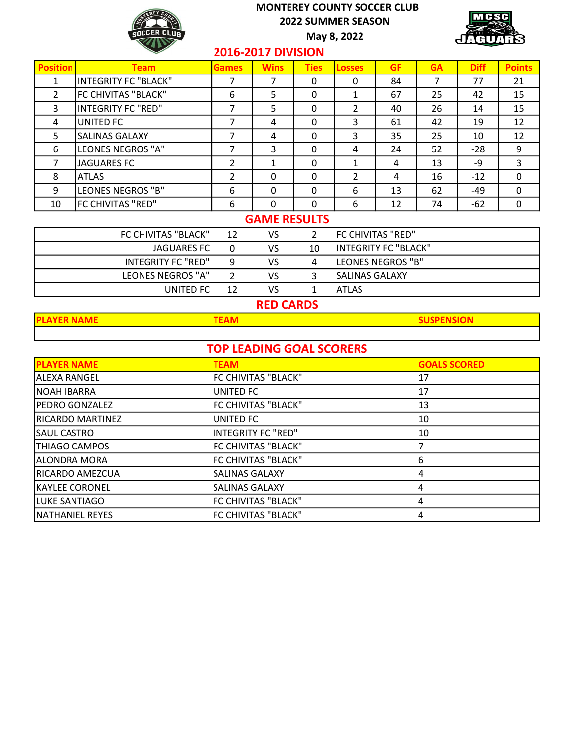

May 8, 2022



#### 2016-2017 DIVISION

| <b>Position</b> | <b>Team</b>                 | Games | <b>Wins</b> | <b>Ties</b> | <b>Losses</b>  | <b>GF</b> | <b>GA</b> | <b>Diff</b> | <b>Points</b> |
|-----------------|-----------------------------|-------|-------------|-------------|----------------|-----------|-----------|-------------|---------------|
|                 | <b>INTEGRITY FC "BLACK"</b> |       |             | 0           | 0              | 84        | 7         | 77          | 21            |
| 2               | FC CHIVITAS "BLACK"         | 6     | 5           | 0           | 1              | 67        | 25        | 42          | 15            |
| 3               | <b>INTEGRITY FC "RED"</b>   | 7     | 5           | 0           | $\overline{2}$ | 40        | 26        | 14          | 15            |
| 4               | <b>UNITED FC</b>            | 7     | 4           | 0           | 3              | 61        | 42        | 19          | 12            |
| 5               | <b>SALINAS GALAXY</b>       | 7     | 4           | 0           | 3              | 35        | 25        | 10          | 12            |
| 6               | LEONES NEGROS "A"           | 7     | 3           | 0           | 4              | 24        | 52        | $-28$       | 9             |
| 7               | <b>JAGUARES FC</b>          | 2     | 1           | $\Omega$    | 1              | 4         | 13        | -9          | 3             |
| 8               | <b>ATLAS</b>                | 2     | $\Omega$    | 0           | 2              | 4         | 16        | $-12$       | 0             |
| 9               | LEONES NEGROS "B"           | 6     | $\Omega$    | $\Omega$    | 6              | 13        | 62        | -49         | 0             |
| 10              | FC CHIVITAS "RED"           | 6     | $\Omega$    | 0           | 6              | 12        | 74        | $-62$       | 0             |
|                 | <b>GAME RESULTS</b>         |       |             |             |                |           |           |             |               |

| FC CHIVITAS "BLACK" | 12 | VS |    | FC CHIVITAS "RED"           |
|---------------------|----|----|----|-----------------------------|
| JAGUARES FC         |    | VS | 10 | <b>INTEGRITY FC "BLACK"</b> |
| INTEGRITY FC "RED"  |    | VS |    | LEONES NEGROS "B"           |
| LEONES NEGROS "A"   |    | VS |    | SALINAS GALAXY              |
| UNITED FC.          |    | VS |    | ATLAS                       |

# RED CARDS

| AVER NAN |  |
|----------|--|
|          |  |

# TOP LEADING GOAL SCORERS

| <b>PLAYER NAME</b>      | <b>TEAM</b>               | <b>GOALS SCORED</b> |
|-------------------------|---------------------------|---------------------|
| <b>ALEXA RANGEL</b>     | FC CHIVITAS "BLACK"       | 17                  |
| NOAH IBARRA             | UNITED FC                 | 17                  |
| <b>PEDRO GONZALEZ</b>   | FC CHIVITAS "BLACK"       | 13                  |
| <b>RICARDO MARTINEZ</b> | UNITED FC                 | 10                  |
| SAUL CASTRO             | <b>INTEGRITY FC "RED"</b> | 10                  |
| <b>THIAGO CAMPOS</b>    | FC CHIVITAS "BLACK"       |                     |
| <b>ALONDRA MORA</b>     | FC CHIVITAS "BLACK"       | 6                   |
| RICARDO AMEZCUA         | <b>SALINAS GALAXY</b>     | 4                   |
| <b>KAYLEE CORONEL</b>   | SALINAS GALAXY            | 4                   |
| lluke SANTIAGO          | FC CHIVITAS "BLACK"       | 4                   |
| <b>NATHANIEL REYES</b>  | FC CHIVITAS "BLACK"       | 4                   |